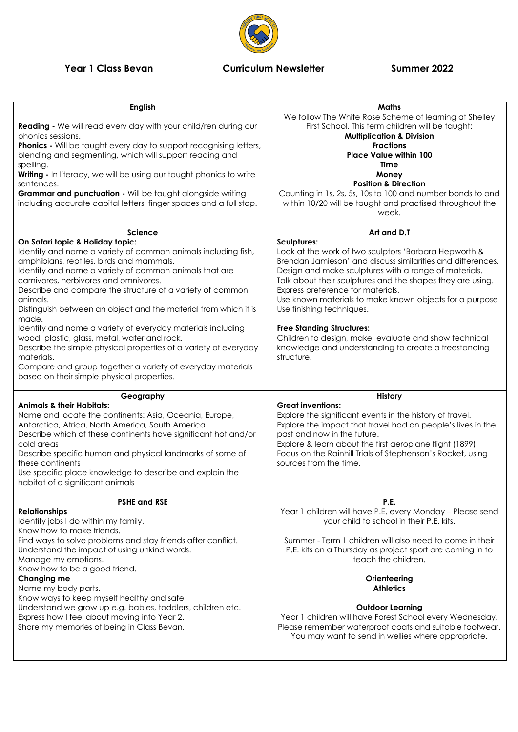## **Year 1 Class Bevan Curriculum Newsletter Summer 2022**



| <b>English</b><br>Reading - We will read every day with your child/ren during our<br>phonics sessions.<br><b>Phonics</b> - Will be taught every day to support recognising letters,<br>blending and segmenting, which will support reading and<br>spelling.<br>Writing - In literacy, we will be using our taught phonics to write<br>sentences.<br>Grammar and punctuation - Will be taught alongside writing<br>including accurate capital letters, finger spaces and a full stop.                                                                                                                   | <b>Maths</b><br>We follow The White Rose Scheme of learning at Shelley<br>First School. This term children will be taught:<br><b>Multiplication &amp; Division</b><br><b>Fractions</b><br><b>Place Value within 100</b><br>Time<br>Money<br><b>Position &amp; Direction</b><br>Counting in 1s, 2s, 5s, 10s to 100 and number bonds to and<br>within 10/20 will be taught and practised throughout the<br>week.                                                                                                                                                    |
|--------------------------------------------------------------------------------------------------------------------------------------------------------------------------------------------------------------------------------------------------------------------------------------------------------------------------------------------------------------------------------------------------------------------------------------------------------------------------------------------------------------------------------------------------------------------------------------------------------|-------------------------------------------------------------------------------------------------------------------------------------------------------------------------------------------------------------------------------------------------------------------------------------------------------------------------------------------------------------------------------------------------------------------------------------------------------------------------------------------------------------------------------------------------------------------|
| <b>Science</b>                                                                                                                                                                                                                                                                                                                                                                                                                                                                                                                                                                                         | Art and D.T                                                                                                                                                                                                                                                                                                                                                                                                                                                                                                                                                       |
| On Safari topic & Holiday topic:<br>Identify and name a variety of common animals including fish,<br>amphibians, reptiles, birds and mammals.<br>Identify and name a variety of common animals that are<br>carnivores, herbivores and omnivores.<br>Describe and compare the structure of a variety of common<br>animals.<br>Distinguish between an object and the material from which it is<br>made.<br>Identify and name a variety of everyday materials including<br>wood, plastic, glass, metal, water and rock.<br>Describe the simple physical properties of a variety of everyday<br>materials. | <b>Sculptures:</b><br>Look at the work of two sculptors 'Barbara Hepworth &<br>Brendan Jamieson' and discuss similarities and differences.<br>Design and make sculptures with a range of materials.<br>Talk about their sculptures and the shapes they are using.<br>Express preference for materials.<br>Use known materials to make known objects for a purpose<br>Use finishing techniques.<br><b>Free Standing Structures:</b><br>Children to design, make, evaluate and show technical<br>knowledge and understanding to create a freestanding<br>structure. |
| Compare and group together a variety of everyday materials<br>based on their simple physical properties.                                                                                                                                                                                                                                                                                                                                                                                                                                                                                               |                                                                                                                                                                                                                                                                                                                                                                                                                                                                                                                                                                   |
| Geography<br><b>Animals &amp; their Habitats:</b><br>Name and locate the continents: Asia, Oceania, Europe,<br>Antarctica, Africa, North America, South America<br>Describe which of these continents have significant hot and/or<br>cold areas<br>Describe specific human and physical landmarks of some of<br>these continents<br>Use specific place knowledge to describe and explain the<br>habitat of a significant animals                                                                                                                                                                       | <b>History</b><br><b>Great inventions:</b><br>Explore the significant events in the history of travel.<br>Explore the impact that travel had on people's lives in the<br>past and now in the future.<br>Explore & learn about the first aeroplane flight (1899)<br>Focus on the Rainhill Trials of Stephenson's Rocket, using<br>sources from the time.                                                                                                                                                                                                           |
|                                                                                                                                                                                                                                                                                                                                                                                                                                                                                                                                                                                                        |                                                                                                                                                                                                                                                                                                                                                                                                                                                                                                                                                                   |
| <b>PSHE and RSE</b><br><b>Relationships</b><br>Identify jobs I do within my family.<br>Know how to make friends.<br>Find ways to solve problems and stay friends after conflict.<br>Understand the impact of using unkind words.<br>Manage my emotions.<br>Know how to be a good friend.<br>Changing me<br>Name my body parts.<br>Know ways to keep myself healthy and safe                                                                                                                                                                                                                            | P.E.<br>Year 1 children will have P.E. every Monday - Please send<br>your child to school in their P.E. kits.<br>Summer - Term 1 children will also need to come in their<br>P.E. kits on a Thursday as project sport are coming in to<br>teach the children.<br>Orienteering<br><b>Athletics</b>                                                                                                                                                                                                                                                                 |
| Understand we grow up e.g. babies, toddlers, children etc.<br>Express how I feel about moving into Year 2.<br>Share my memories of being in Class Bevan.                                                                                                                                                                                                                                                                                                                                                                                                                                               | <b>Outdoor Learning</b><br>Year 1 children will have Forest School every Wednesday.<br>Please remember waterproof coats and suitable footwear.<br>You may want to send in wellies where appropriate.                                                                                                                                                                                                                                                                                                                                                              |